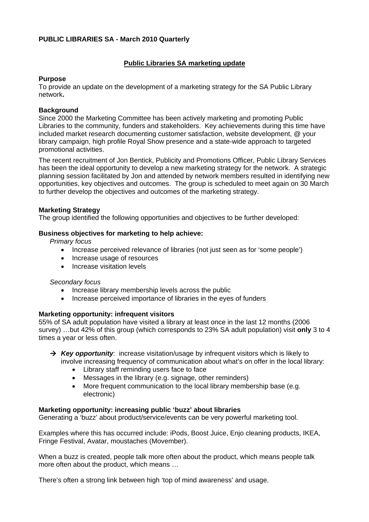## **PUBLIC LIBRARIES SA - March 2010 Quarterly**

# **Public Libraries SA marketing update**

### **Purpose**

To provide an update on the development of a marketing strategy for the SA Public Library network**.** 

### **Background**

Since 2000 the Marketing Committee has been actively marketing and promoting Public Libraries to the community, funders and stakeholders. Key achievements during this time have included market research documenting customer satisfaction, website development, @ your library campaign, high profile Royal Show presence and a state-wide approach to targeted promotional activities.

The recent recruitment of Jon Bentick, Publicity and Promotions Officer, Public Library Services has been the ideal opportunity to develop a new marketing strategy for the network. A strategic planning session facilitated by Jon and attended by network members resulted in identifying new opportunities, key objectives and outcomes. The group is scheduled to meet again on 30 March to further develop the objectives and outcomes of the marketing strategy.

### **Marketing Strategy**

The group identified the following opportunities and objectives to be further developed:

### **Business objectives for marketing to help achieve:**

*Primary focus* 

- Increase perceived relevance of libraries (not just seen as for 'some people')
- Increase usage of resources
- Increase visitation levels

#### *Secondary focus*

- Increase library membership levels across the public
- Increase perceived importance of libraries in the eyes of funders

### **Marketing opportunity: infrequent visitors**

55% of SA adult population have visited a library at least once in the last 12 months (2006 survey) …but 42% of this group (which corresponds to 23% SA adult population) visit **only** 3 to 4 times a year or less often.

- → Key opportunity: increase visitation/usage by infrequent visitors which is likely to involve increasing frequency of communication about what's on offer in the local library:
	- Library staff reminding users face to face
	- Messages in the library (e.g. signage, other reminders)
	- More frequent communication to the local library membership base (e.g. electronic)

#### **Marketing opportunity: increasing public 'buzz' about libraries**

Generating a 'buzz' about product/service/events can be very powerful marketing tool.

Examples where this has occurred include: iPods, Boost Juice, Enjo cleaning products, IKEA, Fringe Festival, Avatar, moustaches (Movember).

When a buzz is created, people talk more often about the product, which means people talk more often about the product, which means …

There's often a strong link between high 'top of mind awareness' and usage.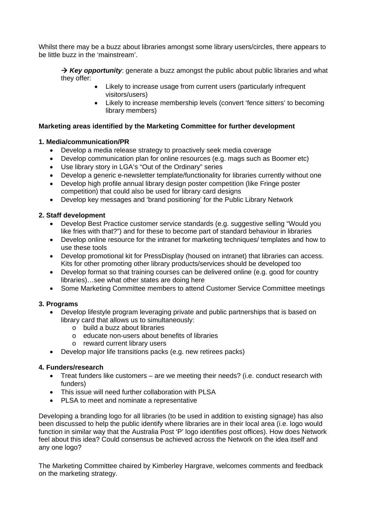Whilst there may be a buzz about libraries amongst some library users/circles, there appears to be little buzz in the 'mainstream'.

→ Key opportunity: generate a buzz amongst the public about public libraries and what they offer:

- Likely to increase usage from current users (particularly infrequent visitors/users)
- Likely to increase membership levels (convert 'fence sitters' to becoming library members)

## **Marketing areas identified by the Marketing Committee for further development**

### **1. Media/communication/PR**

- Develop a media release strategy to proactively seek media coverage
- Develop communication plan for online resources (e.g. mags such as Boomer etc)
- Use library story in LGA's "Out of the Ordinary" series
- Develop a generic e-newsletter template/functionality for libraries currently without one
- Develop high profile annual library design poster competition (like Fringe poster competition) that could also be used for library card designs
- Develop key messages and 'brand positioning' for the Public Library Network

## **2. Staff development**

- Develop Best Practice customer service standards (e.g. suggestive selling "Would you like fries with that?") and for these to become part of standard behaviour in libraries
- Develop online resource for the intranet for marketing techniques/ templates and how to use these tools
- Develop promotional kit for PressDisplay (housed on intranet) that libraries can access. Kits for other promoting other library products/services should be developed too
- Develop format so that training courses can be delivered online (e.g. good for country libraries)…see what other states are doing here
- Some Marketing Committee members to attend Customer Service Committee meetings

# **3. Programs**

- Develop lifestyle program leveraging private and public partnerships that is based on library card that allows us to simultaneously:
	- o build a buzz about libraries
	- o educate non-users about benefits of libraries
	- o reward current library users
- Develop major life transitions packs (e.g. new retirees packs)

### **4. Funders/research**

- Treat funders like customers are we meeting their needs? (i.e. conduct research with funders)
- This issue will need further collaboration with PLSA
- PLSA to meet and nominate a representative

Developing a branding logo for all libraries (to be used in addition to existing signage) has also been discussed to help the public identify where libraries are in their local area (i.e. logo would function in similar way that the Australia Post 'P' logo identifies post offices). How does Network feel about this idea? Could consensus be achieved across the Network on the idea itself and any one logo?

The Marketing Committee chaired by Kimberley Hargrave, welcomes comments and feedback on the marketing strategy.